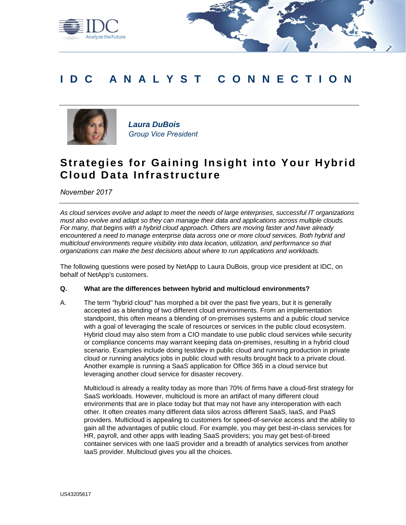

# **IDC A N A L Y S T C O N N E C T I O N**



*Laura DuBois Group Vice President*

# **Strategies for Gaining Insight into Your Hybrid Cloud Data Infrastructure**

*November 2017*

*As cloud services evolve and adapt to meet the needs of large enterprises, successful IT organizations must also evolve and adapt so they can manage their data and applications across multiple clouds. For many, that begins with a hybrid cloud approach. Others are moving faster and have already encountered a need to manage enterprise data across one or more cloud services. Both hybrid and multicloud environments require visibility into data location, utilization, and performance so that organizations can make the best decisions about where to run applications and workloads.*

The following questions were posed by NetApp to Laura DuBois, group vice president at IDC, on behalf of NetApp's customers.

### **Q. What are the differences between hybrid and multicloud environments?**

A. The term "hybrid cloud" has morphed a bit over the past five years, but it is generally accepted as a blending of two different cloud environments. From an implementation standpoint, this often means a blending of on-premises systems and a public cloud service with a goal of leveraging the scale of resources or services in the public cloud ecosystem. Hybrid cloud may also stem from a CIO mandate to use public cloud services while security or compliance concerns may warrant keeping data on-premises, resulting in a hybrid cloud scenario. Examples include doing test/dev in public cloud and running production in private cloud or running analytics jobs in public cloud with results brought back to a private cloud. Another example is running a SaaS application for Office 365 in a cloud service but leveraging another cloud service for disaster recovery.

Multicloud is already a reality today as more than 70% of firms have a cloud-first strategy for SaaS workloads. However, multicloud is more an artifact of many different cloud environments that are in place today but that may not have any interoperation with each other. It often creates many different data silos across different SaaS, IaaS, and PaaS providers. Multicloud is appealing to customers for speed-of-service access and the ability to gain all the advantages of public cloud. For example, you may get best-in-class services for HR, payroll, and other apps with leading SaaS providers; you may get best-of-breed container services with one IaaS provider and a breadth of analytics services from another IaaS provider. Multicloud gives you all the choices.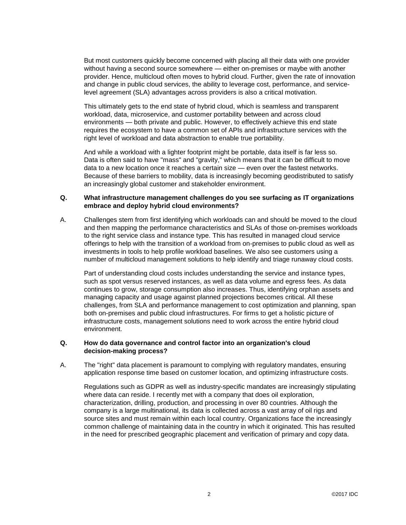But most customers quickly become concerned with placing all their data with one provider without having a second source somewhere — either on-premises or maybe with another provider. Hence, multicloud often moves to hybrid cloud. Further, given the rate of innovation and change in public cloud services, the ability to leverage cost, performance, and servicelevel agreement (SLA) advantages across providers is also a critical motivation.

This ultimately gets to the end state of hybrid cloud, which is seamless and transparent workload, data, microservice, and customer portability between and across cloud environments — both private and public. However, to effectively achieve this end state requires the ecosystem to have a common set of APIs and infrastructure services with the right level of workload and data abstraction to enable true portability.

And while a workload with a lighter footprint might be portable, data itself is far less so. Data is often said to have "mass" and "gravity," which means that it can be difficult to move data to a new location once it reaches a certain size — even over the fastest networks. Because of these barriers to mobility, data is increasingly becoming geodistributed to satisfy an increasingly global customer and stakeholder environment.

### **Q. What infrastructure management challenges do you see surfacing as IT organizations embrace and deploy hybrid cloud environments?**

A. Challenges stem from first identifying which workloads can and should be moved to the cloud and then mapping the performance characteristics and SLAs of those on-premises workloads to the right service class and instance type. This has resulted in managed cloud service offerings to help with the transition of a workload from on-premises to public cloud as well as investments in tools to help profile workload baselines. We also see customers using a number of multicloud management solutions to help identify and triage runaway cloud costs.

Part of understanding cloud costs includes understanding the service and instance types, such as spot versus reserved instances, as well as data volume and egress fees. As data continues to grow, storage consumption also increases. Thus, identifying orphan assets and managing capacity and usage against planned projections becomes critical. All these challenges, from SLA and performance management to cost optimization and planning, span both on-premises and public cloud infrastructures. For firms to get a holistic picture of infrastructure costs, management solutions need to work across the entire hybrid cloud environment.

### **Q. How do data governance and control factor into an organization's cloud decision-making process?**

A. The "right" data placement is paramount to complying with regulatory mandates, ensuring application response time based on customer location, and optimizing infrastructure costs.

Regulations such as GDPR as well as industry-specific mandates are increasingly stipulating where data can reside. I recently met with a company that does oil exploration, characterization, drilling, production, and processing in over 80 countries. Although the company is a large multinational, its data is collected across a vast array of oil rigs and source sites and must remain within each local country. Organizations face the increasingly common challenge of maintaining data in the country in which it originated. This has resulted in the need for prescribed geographic placement and verification of primary and copy data.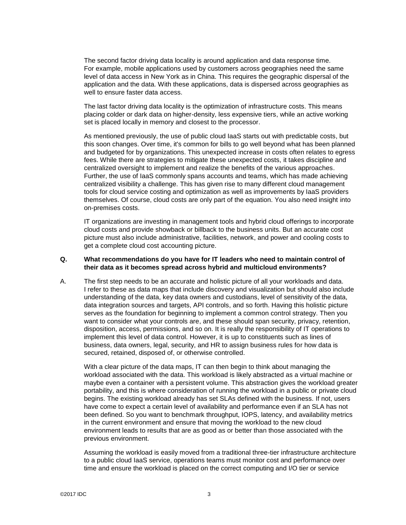The second factor driving data locality is around application and data response time. For example, mobile applications used by customers across geographies need the same level of data access in New York as in China. This requires the geographic dispersal of the application and the data. With these applications, data is dispersed across geographies as well to ensure faster data access.

The last factor driving data locality is the optimization of infrastructure costs. This means placing colder or dark data on higher-density, less expensive tiers, while an active working set is placed locally in memory and closest to the processor.

As mentioned previously, the use of public cloud IaaS starts out with predictable costs, but this soon changes. Over time, it's common for bills to go well beyond what has been planned and budgeted for by organizations. This unexpected increase in costs often relates to egress fees. While there are strategies to mitigate these unexpected costs, it takes discipline and centralized oversight to implement and realize the benefits of the various approaches. Further, the use of IaaS commonly spans accounts and teams, which has made achieving centralized visibility a challenge. This has given rise to many different cloud management tools for cloud service costing and optimization as well as improvements by IaaS providers themselves. Of course, cloud costs are only part of the equation. You also need insight into on-premises costs.

IT organizations are investing in management tools and hybrid cloud offerings to incorporate cloud costs and provide showback or billback to the business units. But an accurate cost picture must also include administrative, facilities, network, and power and cooling costs to get a complete cloud cost accounting picture.

### **Q. What recommendations do you have for IT leaders who need to maintain control of their data as it becomes spread across hybrid and multicloud environments?**

A. The first step needs to be an accurate and holistic picture of all your workloads and data. I refer to these as data maps that include discovery and visualization but should also include understanding of the data, key data owners and custodians, level of sensitivity of the data, data integration sources and targets, API controls, and so forth. Having this holistic picture serves as the foundation for beginning to implement a common control strategy. Then you want to consider what your controls are, and these should span security, privacy, retention, disposition, access, permissions, and so on. It is really the responsibility of IT operations to implement this level of data control. However, it is up to constituents such as lines of business, data owners, legal, security, and HR to assign business rules for how data is secured, retained, disposed of, or otherwise controlled.

With a clear picture of the data maps, IT can then begin to think about managing the workload associated with the data. This workload is likely abstracted as a virtual machine or maybe even a container with a persistent volume. This abstraction gives the workload greater portability, and this is where consideration of running the workload in a public or private cloud begins. The existing workload already has set SLAs defined with the business. If not, users have come to expect a certain level of availability and performance even if an SLA has not been defined. So you want to benchmark throughput, IOPS, latency, and availability metrics in the current environment and ensure that moving the workload to the new cloud environment leads to results that are as good as or better than those associated with the previous environment.

Assuming the workload is easily moved from a traditional three-tier infrastructure architecture to a public cloud IaaS service, operations teams must monitor cost and performance over time and ensure the workload is placed on the correct computing and I/O tier or service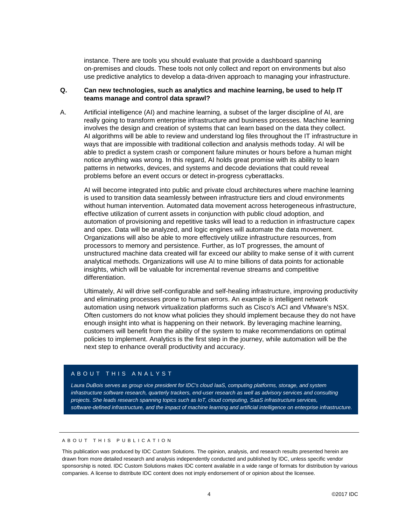instance. There are tools you should evaluate that provide a dashboard spanning on-premises and clouds. These tools not only collect and report on environments but also use predictive analytics to develop a data-driven approach to managing your infrastructure.

## **Q. Can new technologies, such as analytics and machine learning, be used to help IT teams manage and control data sprawl?**

A. Artificial intelligence (AI) and machine learning, a subset of the larger discipline of AI, are really going to transform enterprise infrastructure and business processes. Machine learning involves the design and creation of systems that can learn based on the data they collect. AI algorithms will be able to review and understand log files throughout the IT infrastructure in ways that are impossible with traditional collection and analysis methods today. AI will be able to predict a system crash or component failure minutes or hours before a human might notice anything was wrong. In this regard, AI holds great promise with its ability to learn patterns in networks, devices, and systems and decode deviations that could reveal problems before an event occurs or detect in-progress cyberattacks.

AI will become integrated into public and private cloud architectures where machine learning is used to transition data seamlessly between infrastructure tiers and cloud environments without human intervention. Automated data movement across heterogeneous infrastructure, effective utilization of current assets in conjunction with public cloud adoption, and automation of provisioning and repetitive tasks will lead to a reduction in infrastructure capex and opex. Data will be analyzed, and logic engines will automate the data movement. Organizations will also be able to more effectively utilize infrastructure resources, from processors to memory and persistence. Further, as IoT progresses, the amount of unstructured machine data created will far exceed our ability to make sense of it with current analytical methods. Organizations will use AI to mine billions of data points for actionable insights, which will be valuable for incremental revenue streams and competitive differentiation.

Ultimately, AI will drive self-configurable and self-healing infrastructure, improving productivity and eliminating processes prone to human errors. An example is intelligent network automation using network virtualization platforms such as Cisco's ACI and VMware's NSX. Often customers do not know what policies they should implement because they do not have enough insight into what is happening on their network. By leveraging machine learning, customers will benefit from the ability of the system to make recommendations on optimal policies to implement. Analytics is the first step in the journey, while automation will be the next step to enhance overall productivity and accuracy.

#### A B O U T T H I S A N A L Y S T

*Laura DuBois serves as group vice president for IDC's cloud IaaS, computing platforms, storage, and system infrastructure software research, quarterly trackers, end-user research as well as advisory services and consulting projects. She leads research spanning topics such as IoT, cloud computing, SaaS infrastructure services, software-defined infrastructure, and the impact of machine learning and artificial intelligence on enterprise infrastructure.*

## A B O U T T H I S P U B L I C A T I O N

This publication was produced by IDC Custom Solutions. The opinion, analysis, and research results presented herein are drawn from more detailed research and analysis independently conducted and published by IDC, unless specific vendor sponsorship is noted. IDC Custom Solutions makes IDC content available in a wide range of formats for distribution by various companies. A license to distribute IDC content does not imply endorsement of or opinion about the licensee.